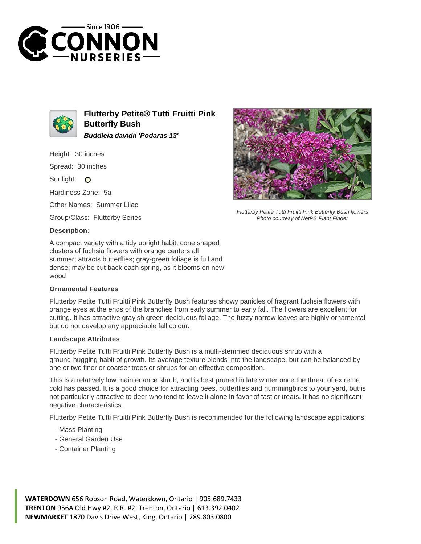



**Flutterby Petite® Tutti Fruitti Pink Butterfly Bush Buddleia davidii 'Podaras 13'**

Height: 30 inches

Spread: 30 inches

Sunlight: O

Hardiness Zone: 5a

Other Names: Summer Lilac

Group/Class: Flutterby Series

## **Description:**

A compact variety with a tidy upright habit; cone shaped clusters of fuchsia flowers with orange centers all summer; attracts butterflies; gray-green foliage is full and dense; may be cut back each spring, as it blooms on new wood

## **Ornamental Features**



## **Landscape Attributes**

Flutterby Petite Tutti Fruitti Pink Butterfly Bush is a multi-stemmed deciduous shrub with a ground-hugging habit of growth. Its average texture blends into the landscape, but can be balanced by one or two finer or coarser trees or shrubs for an effective composition.

This is a relatively low maintenance shrub, and is best pruned in late winter once the threat of extreme cold has passed. It is a good choice for attracting bees, butterflies and hummingbirds to your yard, but is not particularly attractive to deer who tend to leave it alone in favor of tastier treats. It has no significant negative characteristics.

Flutterby Petite Tutti Fruitti Pink Butterfly Bush is recommended for the following landscape applications;

- Mass Planting
- General Garden Use
- Container Planting



Flutterby Petite Tutti Fruitti Pink Butterfly Bush flowers

**WATERDOWN** 656 Robson Road, Waterdown, Ontario | 905.689.7433 **TRENTON** 956A Old Hwy #2, R.R. #2, Trenton, Ontario | 613.392.0402 **NEWMARKET** 1870 Davis Drive West, King, Ontario | 289.803.0800